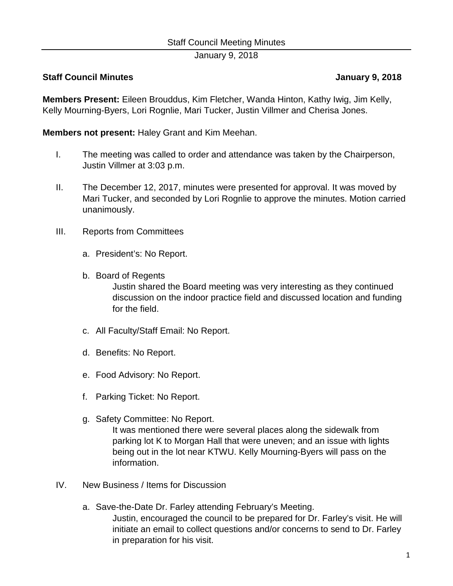## Staff Council Meeting Minutes

January 9, 2018

## **Staff Council Minutes January 9, 2018**

**Members Present:** Eileen Brouddus, Kim Fletcher, Wanda Hinton, Kathy Iwig, Jim Kelly, Kelly Mourning-Byers, Lori Rognlie, Mari Tucker, Justin Villmer and Cherisa Jones.

**Members not present:** Haley Grant and Kim Meehan.

- I. The meeting was called to order and attendance was taken by the Chairperson, Justin Villmer at 3:03 p.m.
- II. The December 12, 2017, minutes were presented for approval. It was moved by Mari Tucker, and seconded by Lori Rognlie to approve the minutes. Motion carried unanimously.
- III. Reports from Committees
	- a. President's: No Report.
	- b. Board of Regents

Justin shared the Board meeting was very interesting as they continued discussion on the indoor practice field and discussed location and funding for the field.

- c. All Faculty/Staff Email: No Report.
- d. Benefits: No Report.
- e. Food Advisory: No Report.
- f. Parking Ticket: No Report.
- g. Safety Committee: No Report.

It was mentioned there were several places along the sidewalk from parking lot K to Morgan Hall that were uneven; and an issue with lights being out in the lot near KTWU. Kelly Mourning-Byers will pass on the information.

- IV. New Business / Items for Discussion
	- a. Save-the-Date Dr. Farley attending February's Meeting. Justin, encouraged the council to be prepared for Dr. Farley's visit. He will initiate an email to collect questions and/or concerns to send to Dr. Farley in preparation for his visit.